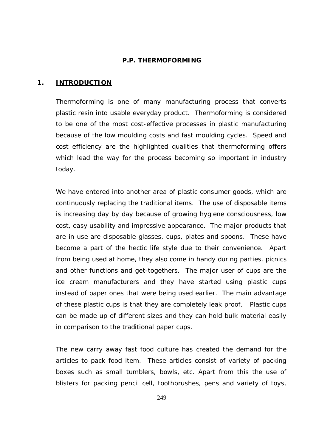#### **P.P. THERMOFORMING**

#### **1. INTRODUCTION**

Thermoforming is one of many manufacturing process that converts plastic resin into usable everyday product. Thermoforming is considered to be one of the most cost-effective processes in plastic manufacturing because of the low moulding costs and fast moulding cycles. Speed and cost efficiency are the highlighted qualities that thermoforming offers which lead the way for the process becoming so important in industry today.

We have entered into another area of plastic consumer goods, which are continuously replacing the traditional items. The use of disposable items is increasing day by day because of growing hygiene consciousness, low cost, easy usability and impressive appearance. The major products that are in use are disposable glasses, cups, plates and spoons. These have become a part of the hectic life style due to their convenience. Apart from being used at home, they also come in handy during parties, picnics and other functions and get-togethers. The major user of cups are the ice cream manufacturers and they have started using plastic cups instead of paper ones that were being used earlier. The main advantage of these plastic cups is that they are completely leak proof. Plastic cups can be made up of different sizes and they can hold bulk material easily in comparison to the traditional paper cups.

The new carry away fast food culture has created the demand for the articles to pack food item. These articles consist of variety of packing boxes such as small tumblers, bowls, etc. Apart from this the use of blisters for packing pencil cell, toothbrushes, pens and variety of toys,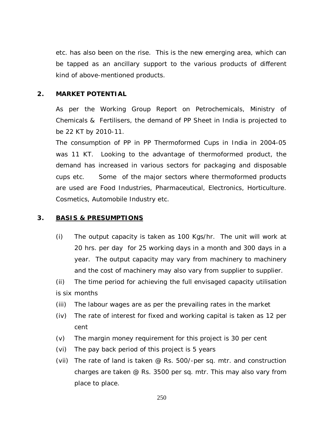etc. has also been on the rise. This is the new emerging area, which can be tapped as an ancillary support to the various products of different kind of above-mentioned products.

#### **2. MARKET POTENTIAL**

As per the Working Group Report on Petrochemicals, Ministry of Chemicals & Fertilisers, the demand of PP Sheet in India is projected to be 22 KT by 2010-11.

The consumption of PP in PP Thermoformed Cups in India in 2004-05 was 11 KT. Looking to the advantage of thermoformed product, the demand has increased in various sectors for packaging and disposable cups etc. Some of the major sectors where thermoformed products are used are Food Industries, Pharmaceutical, Electronics, Horticulture. Cosmetics, Automobile Industry etc.

#### **3. BASIS & PRESUMPTIONS**

- (i) The output capacity is taken as 100 Kgs/hr. The unit will work at 20 hrs. per day for 25 working days in a month and 300 days in a year. The output capacity may vary from machinery to machinery and the cost of machinery may also vary from supplier to supplier.
- (ii) The time period for achieving the full envisaged capacity utilisation is six months
- (iii) The labour wages are as per the prevailing rates in the market
- (iv) The rate of interest for fixed and working capital is taken as 12 per cent
- (v) The margin money requirement for this project is 30 per cent
- (vi) The pay back period of this project is 5 years
- (vii) The rate of land is taken @ Rs. 500/-per sq. mtr. and construction charges are taken @ Rs. 3500 per sq. mtr. This may also vary from place to place.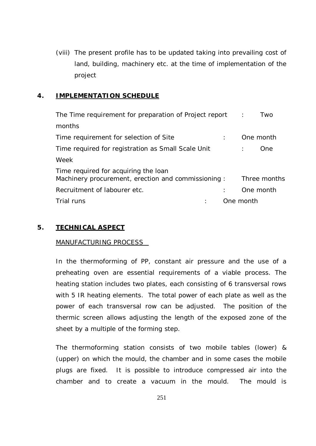(viii) The present profile has to be updated taking into prevailing cost of land, building, machinery etc. at the time of implementation of the project

#### **4. IMPLEMENTATION SCHEDULE**

| The Time requirement for preparation of Project report :                                   |           | Two          |
|--------------------------------------------------------------------------------------------|-----------|--------------|
| months                                                                                     |           |              |
| Time requirement for selection of Site                                                     |           | One month    |
| Time required for registration as Small Scale Unit                                         |           | One.         |
| Week                                                                                       |           |              |
| Time required for acquiring the loan<br>Machinery procurement, erection and commissioning: |           | Three months |
| Recruitment of labourer etc.                                                               |           | One month    |
| Trial runs                                                                                 | One month |              |

### **5. TECHNICAL ASPECT**

#### MANUFACTURING PROCESS

In the thermoforming of PP, constant air pressure and the use of a preheating oven are essential requirements of a viable process. The heating station includes two plates, each consisting of 6 transversal rows with 5 IR heating elements. The total power of each plate as well as the power of each transversal row can be adjusted. The position of the thermic screen allows adjusting the length of the exposed zone of the sheet by a multiple of the forming step.

The thermoforming station consists of two mobile tables (lower) & (upper) on which the mould, the chamber and in some cases the mobile plugs are fixed. It is possible to introduce compressed air into the chamber and to create a vacuum in the mould. The mould is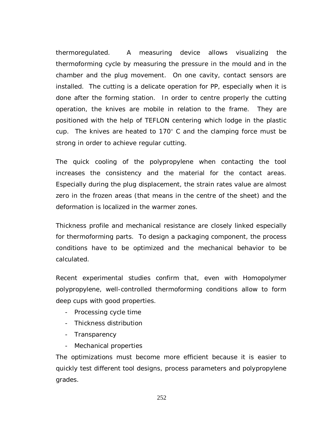thermoregulated. A measuring device allows visualizing the thermoforming cycle by measuring the pressure in the mould and in the chamber and the plug movement. On one cavity, contact sensors are installed. The cutting is a delicate operation for PP, especially when it is done after the forming station. In order to centre properly the cutting operation, the knives are mobile in relation to the frame. They are positioned with the help of TEFLON centering which lodge in the plastic cup. The knives are heated to 170 C and the clamping force must be strong in order to achieve regular cutting.

The quick cooling of the polypropylene when contacting the tool increases the consistency and the material for the contact areas. Especially during the plug displacement, the strain rates value are almost zero in the frozen areas (that means in the centre of the sheet) and the deformation is localized in the warmer zones.

Thickness profile and mechanical resistance are closely linked especially for thermoforming parts. To design a packaging component, the process conditions have to be optimized and the mechanical behavior to be calculated.

Recent experimental studies confirm that, even with Homopolymer polypropylene, well-controlled thermoforming conditions allow to form deep cups with good properties.

- Processing cycle time
- Thickness distribution
- Transparency
- Mechanical properties

The optimizations must become more efficient because it is easier to quickly test different tool designs, process parameters and polypropylene grades.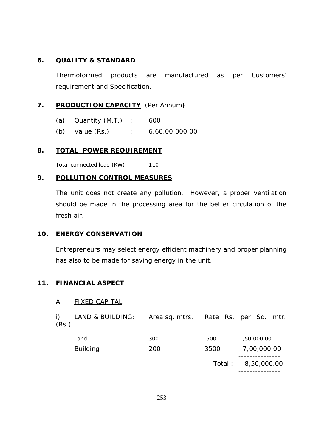## **6. QUALITY & STANDARD**

Thermoformed products are manufactured as per Customers' requirement and Specification.

# **7. PRODUCTION CAPACITY** (Per Annum**)**

- (a) Quantity (M.T.) : 600
- (b) Value (Rs.) : 6,60,00,000.00

### **8. TOTAL POWER REQUIREMENT**

Total connected load (KW) : 110

## **9. POLLUTION CONTROL MEASURES**

The unit does not create any pollution. However, a proper ventilation should be made in the processing area for the better circulation of the fresh air.

### **10. ENERGY CONSERVATION**

Entrepreneurs may select energy efficient machinery and proper planning has also to be made for saving energy in the unit.

### **11. FINANCIAL ASPECT**

### A. FIXED CAPITAL

| i)<br>(Rs.) | <u>LAND &amp; BUILDING:</u> | Area sq. mtrs. Rate Rs. per Sq. mtr. |         |             |
|-------------|-----------------------------|--------------------------------------|---------|-------------|
|             | Land                        | 300                                  | 500     | 1,50,000.00 |
|             | <b>Building</b>             | 200                                  | 3500    | 7,00,000.00 |
|             |                             |                                      | Total : | 8,50,000.00 |
|             |                             |                                      |         |             |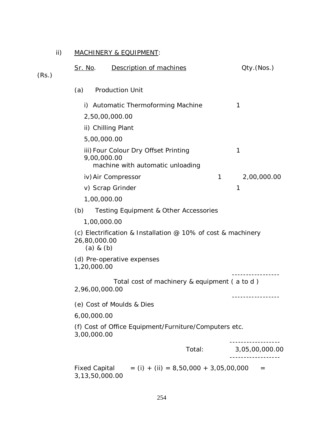# ii) MACHINERY & EQUIPMENT:

| (Rs.) | <u>Sr. No</u> .               | Description of machines                                                  |   | Qty.(Nos.)     |
|-------|-------------------------------|--------------------------------------------------------------------------|---|----------------|
|       | (a)                           | <b>Production Unit</b>                                                   |   |                |
|       |                               | i) Automatic Thermoforming Machine                                       |   | 1              |
|       |                               | 2,50,00,000.00                                                           |   |                |
|       |                               | ii) Chilling Plant                                                       |   |                |
|       | 5,00,000.00                   |                                                                          |   |                |
|       | 9,00,000.00                   | iii) Four Colour Dry Offset Printing<br>machine with automatic unloading |   | 1              |
|       |                               | iv) Air Compressor                                                       | 1 | 2,00,000.00    |
|       |                               | v) Scrap Grinder                                                         |   | 1              |
|       |                               | 1,00,000.00                                                              |   |                |
|       | (b)                           | Testing Equipment & Other Accessories                                    |   |                |
|       | 1,00,000.00                   |                                                                          |   |                |
|       | 26,80,000.00<br>$(a)$ & $(b)$ | (c) Electrification & Installation $\varnothing$ 10% of cost & machinery |   |                |
|       | 1,20,000.00                   | (d) Pre-operative expenses                                               |   |                |
|       | 2,96,00,000.00                | Total cost of machinery & equipment (a to d)                             |   |                |
|       |                               | (e) Cost of Moulds & Dies                                                |   |                |
|       | 6,00,000.00                   |                                                                          |   |                |
|       | 3,00,000.00                   | (f) Cost of Office Equipment/Furniture/Computers etc.                    |   |                |
|       |                               | Total:                                                                   |   | 3,05,00,000.00 |
|       | 3,13,50,000.00                | Fixed Capital $= (i) + (ii) = 8,50,000 + 3,05,00,000$                    |   |                |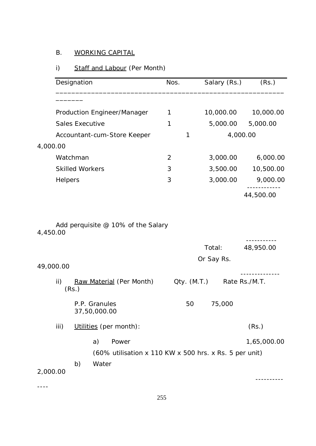# B. WORKING CAPITAL

# i) Staff and Labour (Per Month)

|           | Designation                                            | Nos.           | Salary (Rs.)         | (Rs.)         |
|-----------|--------------------------------------------------------|----------------|----------------------|---------------|
|           | Production Engineer/Manager                            | 1              | 10,000.00            | 10,000.00     |
|           | Sales Executive                                        | $\mathbf{1}$   | 5,000.00             | 5,000.00      |
|           | Accountant-cum-Store Keeper                            | 1              | 4,000.00             |               |
| 4,000.00  |                                                        |                |                      |               |
|           | Watchman                                               | $\overline{2}$ | 3,000.00             | 6,000.00      |
|           | <b>Skilled Workers</b>                                 | 3              | 3,500.00             | 10,500.00     |
|           | Helpers                                                | 3              | 3,000.00             | 9,000.00      |
|           |                                                        |                |                      | 44,500.00     |
|           |                                                        |                |                      |               |
| 4,450.00  |                                                        |                | Total:<br>Or Say Rs. | 48,950.00     |
| 49,000.00 |                                                        |                |                      |               |
| ii)       | Raw Material (Per Month)<br>(Rs.)                      |                | Qty. (M.T.)          | Rate Rs./M.T. |
|           | P.P. Granules<br>37,50,000.00                          | 50             | 75,000               |               |
| iii)      | Utilities (per month):                                 |                |                      | (Rs.)         |
|           | a)<br>Power                                            |                |                      | 1,65,000.00   |
|           | (60% utilisation x 110 KW x 500 hrs. x Rs. 5 per unit) |                |                      |               |
|           | b)<br>Water                                            |                |                      |               |
| 2,000.00  |                                                        |                |                      |               |
|           |                                                        |                |                      |               |

255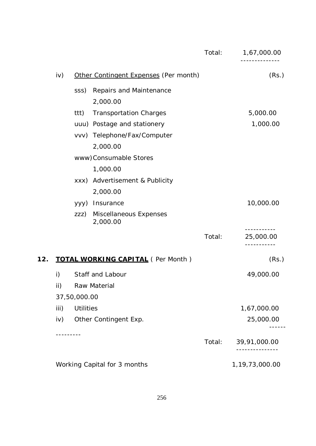|     |      |                  |                                          | Total: | 1,67,000.00<br>---------           |
|-----|------|------------------|------------------------------------------|--------|------------------------------------|
|     | iv)  |                  | Other Contingent Expenses (Per month)    |        | (Rs.)                              |
|     |      | SSS)             | Repairs and Maintenance                  |        |                                    |
|     |      |                  | 2,000.00                                 |        |                                    |
|     |      | ttt)             | <b>Transportation Charges</b>            |        | 5,000.00                           |
|     |      |                  | uuu) Postage and stationery              |        | 1,000.00                           |
|     |      |                  | vvv) Telephone/Fax/Computer              |        |                                    |
|     |      |                  | 2,000.00                                 |        |                                    |
|     |      |                  | www)Consumable Stores                    |        |                                    |
|     |      |                  | 1,000.00                                 |        |                                    |
|     |      |                  | xxx) Advertisement & Publicity           |        |                                    |
|     |      |                  | 2,000.00                                 |        |                                    |
|     |      |                  | yyy) Insurance                           |        | 10,000.00                          |
|     |      | ZZZ)             | Miscellaneous Expenses<br>2,000.00       |        |                                    |
|     |      |                  |                                          | Total: | 25,000.00<br>. _ _ _ _ _ _ _ _ _ _ |
| 12. |      |                  | <b>TOTAL WORKING CAPITAL (Per Month)</b> |        | (Rs.)                              |
|     | i)   |                  | Staff and Labour                         |        | 49,000.00                          |
|     | ii)  |                  | Raw Material                             |        |                                    |
|     |      | 37,50,000.00     |                                          |        |                                    |
|     | iii) | <b>Utilities</b> |                                          |        | 1,67,000.00                        |
|     | iv)  |                  | Other Contingent Exp.                    |        | 25,000.00                          |
|     |      | --------         |                                          | Total: | 39,91,000.00                       |
|     |      |                  | Working Capital for 3 months             |        | 1, 19, 73, 000. 00                 |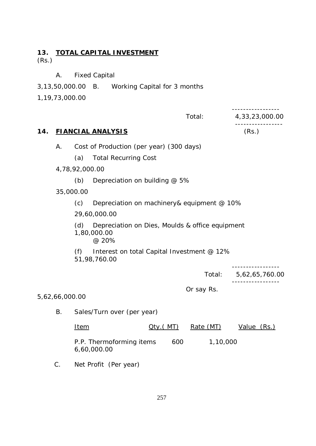# **13. TOTAL CAPITAL INVESTMENT** (Rs.)

A. Fixed Capital

3,13,50,000.00 B. Working Capital for 3 months

1,19,73,000.00

|     |                                                                                                                                                     |                |                                            |                   |     | Total:     | 4,33,23,000.00 |
|-----|-----------------------------------------------------------------------------------------------------------------------------------------------------|----------------|--------------------------------------------|-------------------|-----|------------|----------------|
| 14. |                                                                                                                                                     |                | <b>FIANCIAL ANALYSIS</b>                   |                   |     |            | (Rs.)          |
|     | Α.                                                                                                                                                  |                | Cost of Production (per year) (300 days)   |                   |     |            |                |
|     |                                                                                                                                                     | (a)            | <b>Total Recurring Cost</b>                |                   |     |            |                |
|     |                                                                                                                                                     | 4,78,92,000.00 |                                            |                   |     |            |                |
|     |                                                                                                                                                     | (b)            | Depreciation on building @ 5%              |                   |     |            |                |
|     |                                                                                                                                                     | 35,000.00      |                                            |                   |     |            |                |
|     |                                                                                                                                                     | (c)            | Depreciation on machinery& equipment @ 10% |                   |     |            |                |
|     |                                                                                                                                                     |                | 29,60,000.00                               |                   |     |            |                |
|     | Depreciation on Dies, Moulds & office equipment<br>(d)<br>1,80,000.00<br>@ 20%<br>Interest on total Capital Investment @ 12%<br>(f)<br>51,98,760.00 |                |                                            |                   |     |            |                |
|     |                                                                                                                                                     |                |                                            |                   |     |            |                |
|     |                                                                                                                                                     |                |                                            |                   |     | Total:     | 5,62,65,760.00 |
|     |                                                                                                                                                     |                |                                            |                   |     | Or say Rs. |                |
|     | 5,62,66,000.00                                                                                                                                      |                |                                            |                   |     |            |                |
|     | <b>B.</b>                                                                                                                                           |                | Sales/Turn over (per year)                 |                   |     |            |                |
|     |                                                                                                                                                     | <u>Item</u>    |                                            | <u> Oty ( MT)</u> |     | Rate (MT)  | Value $(Rs.)$  |
|     |                                                                                                                                                     |                | P.P. Thermoforming items<br>6,60,000.00    |                   | 600 | 1,10,000   |                |
|     | C.                                                                                                                                                  |                | Net Profit (Per year)                      |                   |     |            |                |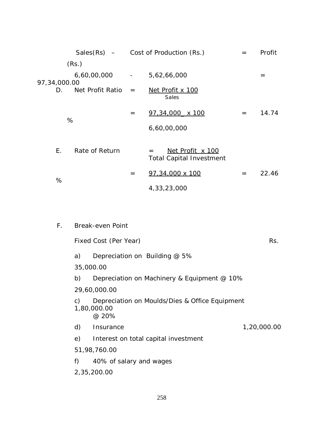|                    |                      |     | Sales $(Rs)$ – Cost of Production $(Rs.)$                         | $=$ | Profit |
|--------------------|----------------------|-----|-------------------------------------------------------------------|-----|--------|
|                    | (Rs.)                |     |                                                                   |     |        |
| 97,34,000.00<br>D. | 6,60,00,000          |     | $-5,62,66,000$                                                    |     | $=$    |
|                    | Net Profit Ratio $=$ |     | Net Profit x 100<br>Sales                                         |     |        |
| %                  |                      | $=$ | $97,34,000 \times 100$                                            | $=$ | 14.74  |
|                    |                      |     | 6,60,00,000                                                       |     |        |
| E.                 | Rate of Return       |     | <u>Net Profit x 100</u><br>$=$<br><b>Total Capital Investment</b> |     |        |
| %                  |                      | $=$ | 97,34,000 x 100                                                   | $=$ | 22.46  |
|                    |                      |     | 4, 33, 23, 000                                                    |     |        |
|                    |                      |     |                                                                   |     |        |

| F. |                | <b>Break-even Point</b>                                                |             |
|----|----------------|------------------------------------------------------------------------|-------------|
|    |                | Fixed Cost (Per Year)                                                  | Rs.         |
|    | a)             | Depreciation on Building @ 5%                                          |             |
|    |                | 35,000.00                                                              |             |
|    | b)             | Depreciation on Machinery & Equipment @ 10%                            |             |
|    |                | 29,60,000.00                                                           |             |
|    | $\mathsf{C}$ ) | Depreciation on Moulds/Dies & Office Equipment<br>1,80,000.00<br>@ 20% |             |
|    | d)             | Insurance                                                              | 1,20,000.00 |
|    | e)             | Interest on total capital investment                                   |             |
|    |                | 51,98,760.00                                                           |             |
|    | f)             | 40% of salary and wages                                                |             |
|    |                | 2,35,200.00                                                            |             |
|    |                |                                                                        |             |
|    |                |                                                                        |             |